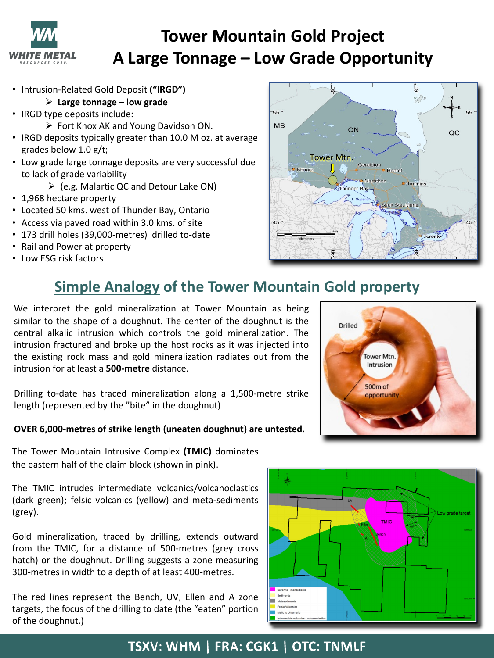

# **Tower Mountain Gold Project A Large Tonnage – Low Grade Opportunity**

- Intrusion-Related Gold Deposit **("IRGD")**
	- Ø **Large tonnage – low grade**
- IRGD type deposits include:
	- $\triangleright$  Fort Knox AK and Young Davidson ON.
- IRGD deposits typically greater than 10.0 M oz. at average grades below 1.0 g/t;
- Low grade large tonnage deposits are very successful due to lack of grade variability
	- $\triangleright$  (e.g. Malartic QC and Detour Lake ON)
- 1,968 hectare property
- Located 50 kms. west of Thunder Bay, Ontario
- Access via paved road within 3.0 kms. of site
- 173 drill holes (39,000-metres) drilled to-date
- Rail and Power at property
- Low ESG risk factors



## **Simple Analogy of the Tower Mountain Gold property**

We interpret the gold mineralization at Tower Mountain as being similar to the shape of a doughnut. The center of the doughnut is the central alkalic intrusion which controls the gold mineralization. The intrusion fractured and broke up the host rocks as it was injected into the existing rock mass and gold mineralization radiates out from the intrusion for at least a **500-metre** distance.

Drilling to-date has traced mineralization along a 1,500-metre strike length (represented by the "bite" in the doughnut)

#### **OVER 6,000-metres of strike length (uneaten doughnut) are untested.**

The Tower Mountain Intrusive Complex **(TMIC)** dominates the eastern half of the claim block (shown in pink).

The TMIC intrudes intermediate volcanics/volcanoclastics (dark green); felsic volcanics (yellow) and meta-sediments (grey).

Gold mineralization, traced by drilling, extends outward from the TMIC, for a distance of 500-metres (grey cross hatch) or the doughnut. Drilling suggests a zone measuring 300-metres in width to a depth of at least 400-metres.

The red lines represent the Bench, UV, Ellen and A zone targets, the focus of the drilling to date (the "eaten" portion of the doughnut.)





## TSXV: WHM | FRA: CGK1 | OTC: TNMLF